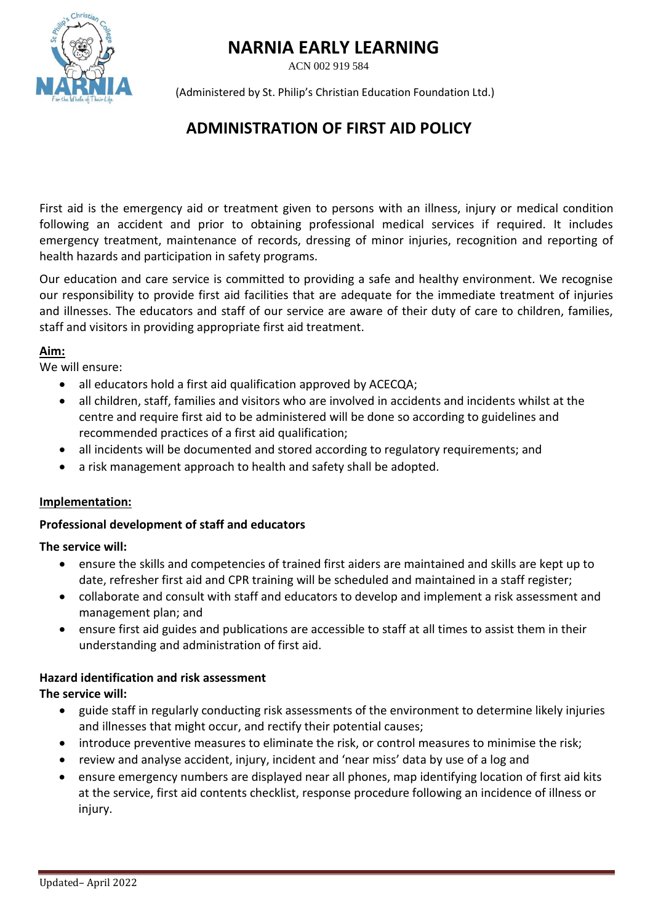# **NARNIA EARLY LEARNING**

ACN 002 919 584



(Administered by St. Philip's Christian Education Foundation Ltd.)

## **ADMINISTRATION OF FIRST AID POLICY**

First aid is the emergency aid or treatment given to persons with an illness, injury or medical condition following an accident and prior to obtaining professional medical services if required. It includes emergency treatment, maintenance of records, dressing of minor injuries, recognition and reporting of health hazards and participation in safety programs.

Our education and care service is committed to providing a safe and healthy environment. We recognise our responsibility to provide first aid facilities that are adequate for the immediate treatment of injuries and illnesses. The educators and staff of our service are aware of their duty of care to children, families, staff and visitors in providing appropriate first aid treatment.

#### **Aim:**

We will ensure:

- all educators hold a first aid qualification approved by ACECQA;
- all children, staff, families and visitors who are involved in accidents and incidents whilst at the centre and require first aid to be administered will be done so according to guidelines and recommended practices of a first aid qualification;
- all incidents will be documented and stored according to regulatory requirements; and
- a risk management approach to health and safety shall be adopted.

## **Implementation:**

## **Professional development of staff and educators**

## **The service will:**

- ensure the skills and competencies of trained first aiders are maintained and skills are kept up to date, refresher first aid and CPR training will be scheduled and maintained in a staff register;
- collaborate and consult with staff and educators to develop and implement a risk assessment and management plan; and
- ensure first aid guides and publications are accessible to staff at all times to assist them in their understanding and administration of first aid.

## **Hazard identification and risk assessment**

## **The service will:**

- guide staff in regularly conducting risk assessments of the environment to determine likely injuries and illnesses that might occur, and rectify their potential causes;
- introduce preventive measures to eliminate the risk, or control measures to minimise the risk;
- review and analyse accident, injury, incident and 'near miss' data by use of a log and
- ensure emergency numbers are displayed near all phones, map identifying location of first aid kits at the service, first aid contents checklist, response procedure following an incidence of illness or injury.